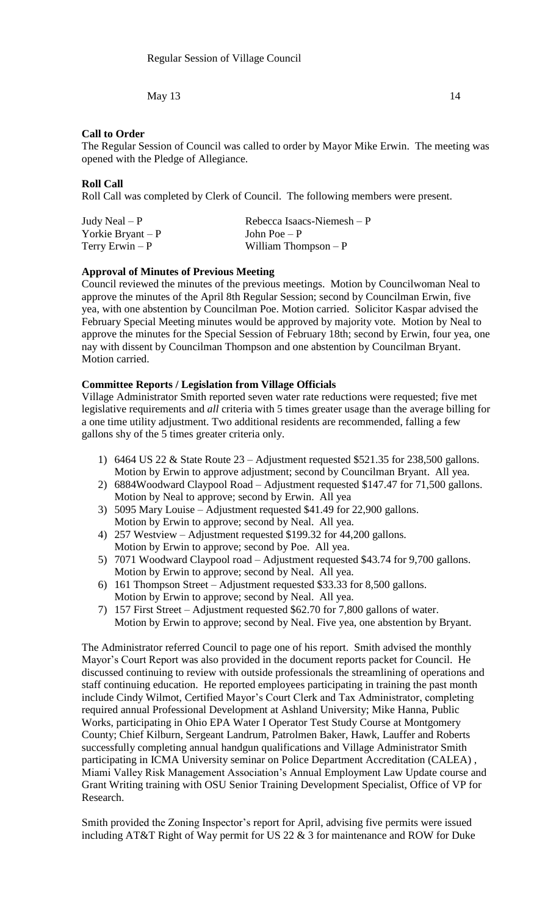May 13  $\hspace{1.5cm}$  14

# **Call to Order**

The Regular Session of Council was called to order by Mayor Mike Erwin. The meeting was opened with the Pledge of Allegiance.

# **Roll Call**

Roll Call was completed by Clerk of Council. The following members were present.

| Judy Neal $- P$     | Rebecca Isaacs-Niemesh $-P$ |
|---------------------|-----------------------------|
| Yorkie Bryant – $P$ | John Poe $-P$               |
| Terry Erwin $-P$    | William Thompson $-P$       |

# **Approval of Minutes of Previous Meeting**

Council reviewed the minutes of the previous meetings. Motion by Councilwoman Neal to approve the minutes of the April 8th Regular Session; second by Councilman Erwin, five yea, with one abstention by Councilman Poe. Motion carried. Solicitor Kaspar advised the February Special Meeting minutes would be approved by majority vote. Motion by Neal to approve the minutes for the Special Session of February 18th; second by Erwin, four yea, one nay with dissent by Councilman Thompson and one abstention by Councilman Bryant. Motion carried.

# **Committee Reports / Legislation from Village Officials**

Village Administrator Smith reported seven water rate reductions were requested; five met legislative requirements and *all* criteria with 5 times greater usage than the average billing for a one time utility adjustment. Two additional residents are recommended, falling a few gallons shy of the 5 times greater criteria only.

- 1) 6464 US 22 & State Route 23 Adjustment requested \$521.35 for 238,500 gallons. Motion by Erwin to approve adjustment; second by Councilman Bryant. All yea.
- 2) 6884Woodward Claypool Road Adjustment requested \$147.47 for 71,500 gallons. Motion by Neal to approve; second by Erwin. All yea
- 3) 5095 Mary Louise Adjustment requested \$41.49 for 22,900 gallons. Motion by Erwin to approve; second by Neal. All yea.
- 4) 257 Westview Adjustment requested \$199.32 for 44,200 gallons. Motion by Erwin to approve; second by Poe. All yea.
- 5) 7071 Woodward Claypool road Adjustment requested \$43.74 for 9,700 gallons. Motion by Erwin to approve; second by Neal. All yea.
- 6) 161 Thompson Street Adjustment requested \$33.33 for 8,500 gallons. Motion by Erwin to approve; second by Neal. All yea.
- 7) 157 First Street Adjustment requested \$62.70 for 7,800 gallons of water. Motion by Erwin to approve; second by Neal. Five yea, one abstention by Bryant.

The Administrator referred Council to page one of his report. Smith advised the monthly Mayor's Court Report was also provided in the document reports packet for Council. He discussed continuing to review with outside professionals the streamlining of operations and staff continuing education. He reported employees participating in training the past month include Cindy Wilmot, Certified Mayor's Court Clerk and Tax Administrator, completing required annual Professional Development at Ashland University; Mike Hanna, Public Works, participating in Ohio EPA Water I Operator Test Study Course at Montgomery County; Chief Kilburn, Sergeant Landrum, Patrolmen Baker, Hawk, Lauffer and Roberts successfully completing annual handgun qualifications and Village Administrator Smith participating in ICMA University seminar on Police Department Accreditation (CALEA) , Miami Valley Risk Management Association's Annual Employment Law Update course and Grant Writing training with OSU Senior Training Development Specialist, Office of VP for Research.

Smith provided the Zoning Inspector's report for April, advising five permits were issued including AT&T Right of Way permit for US 22 & 3 for maintenance and ROW for Duke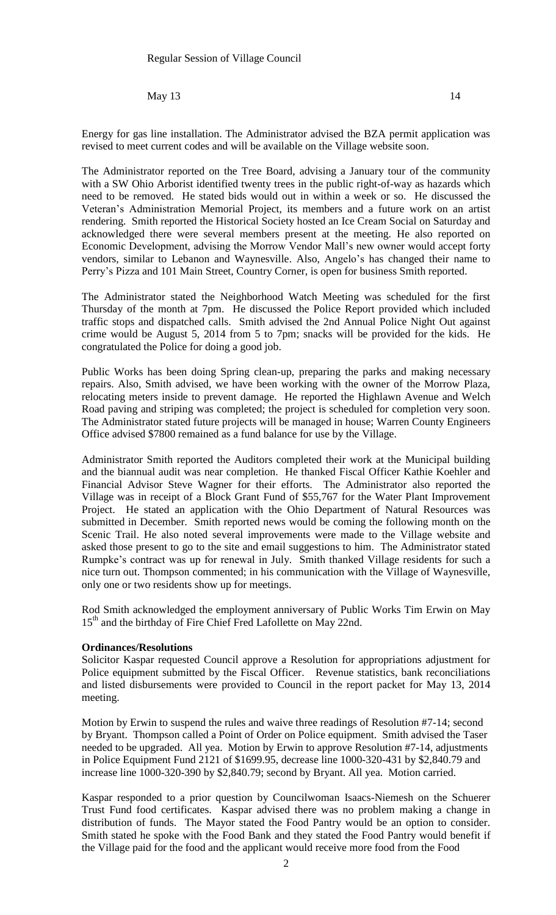May  $13 \t\t 14$ 

Energy for gas line installation. The Administrator advised the BZA permit application was revised to meet current codes and will be available on the Village website soon.

The Administrator reported on the Tree Board, advising a January tour of the community with a SW Ohio Arborist identified twenty trees in the public right-of-way as hazards which need to be removed. He stated bids would out in within a week or so. He discussed the Veteran's Administration Memorial Project, its members and a future work on an artist rendering. Smith reported the Historical Society hosted an Ice Cream Social on Saturday and acknowledged there were several members present at the meeting. He also reported on Economic Development, advising the Morrow Vendor Mall's new owner would accept forty vendors, similar to Lebanon and Waynesville. Also, Angelo's has changed their name to Perry's Pizza and 101 Main Street, Country Corner, is open for business Smith reported.

The Administrator stated the Neighborhood Watch Meeting was scheduled for the first Thursday of the month at 7pm. He discussed the Police Report provided which included traffic stops and dispatched calls. Smith advised the 2nd Annual Police Night Out against crime would be August 5, 2014 from 5 to 7pm; snacks will be provided for the kids. He congratulated the Police for doing a good job.

Public Works has been doing Spring clean-up, preparing the parks and making necessary repairs. Also, Smith advised, we have been working with the owner of the Morrow Plaza, relocating meters inside to prevent damage. He reported the Highlawn Avenue and Welch Road paving and striping was completed; the project is scheduled for completion very soon. The Administrator stated future projects will be managed in house; Warren County Engineers Office advised \$7800 remained as a fund balance for use by the Village.

Administrator Smith reported the Auditors completed their work at the Municipal building and the biannual audit was near completion. He thanked Fiscal Officer Kathie Koehler and Financial Advisor Steve Wagner for their efforts. The Administrator also reported the Village was in receipt of a Block Grant Fund of \$55,767 for the Water Plant Improvement Project. He stated an application with the Ohio Department of Natural Resources was submitted in December. Smith reported news would be coming the following month on the Scenic Trail. He also noted several improvements were made to the Village website and asked those present to go to the site and email suggestions to him. The Administrator stated Rumpke's contract was up for renewal in July. Smith thanked Village residents for such a nice turn out. Thompson commented; in his communication with the Village of Waynesville, only one or two residents show up for meetings.

Rod Smith acknowledged the employment anniversary of Public Works Tim Erwin on May 15<sup>th</sup> and the birthday of Fire Chief Fred Lafollette on May 22nd.

### **Ordinances/Resolutions**

Solicitor Kaspar requested Council approve a Resolution for appropriations adjustment for Police equipment submitted by the Fiscal Officer. Revenue statistics, bank reconciliations and listed disbursements were provided to Council in the report packet for May 13, 2014 meeting.

Motion by Erwin to suspend the rules and waive three readings of Resolution #7-14; second by Bryant. Thompson called a Point of Order on Police equipment. Smith advised the Taser needed to be upgraded. All yea. Motion by Erwin to approve Resolution #7-14, adjustments in Police Equipment Fund 2121 of \$1699.95, decrease line 1000-320-431 by \$2,840.79 and increase line 1000-320-390 by \$2,840.79; second by Bryant. All yea. Motion carried.

Kaspar responded to a prior question by Councilwoman Isaacs-Niemesh on the Schuerer Trust Fund food certificates. Kaspar advised there was no problem making a change in distribution of funds. The Mayor stated the Food Pantry would be an option to consider. Smith stated he spoke with the Food Bank and they stated the Food Pantry would benefit if the Village paid for the food and the applicant would receive more food from the Food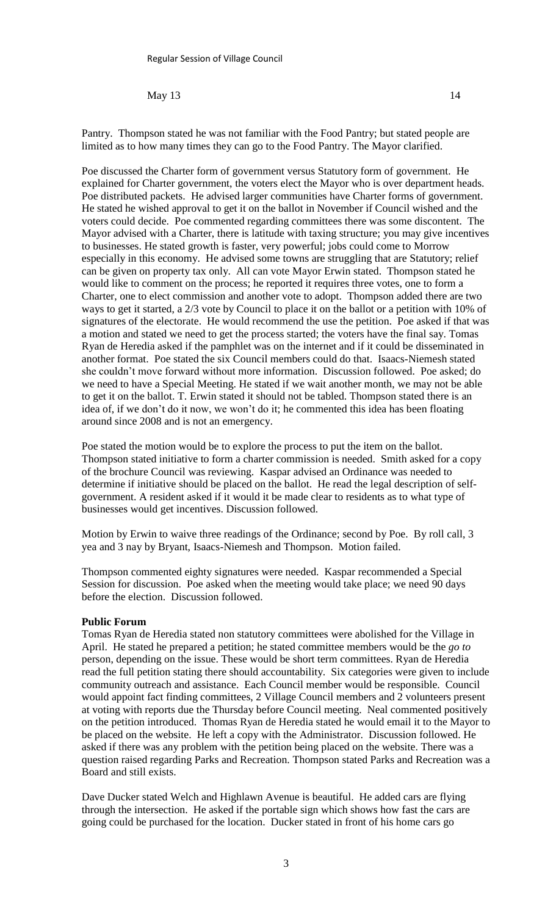May 13  $\hspace{1.5cm}$  14

Pantry. Thompson stated he was not familiar with the Food Pantry; but stated people are limited as to how many times they can go to the Food Pantry. The Mayor clarified.

Poe discussed the Charter form of government versus Statutory form of government. He explained for Charter government, the voters elect the Mayor who is over department heads. Poe distributed packets. He advised larger communities have Charter forms of government. He stated he wished approval to get it on the ballot in November if Council wished and the voters could decide. Poe commented regarding committees there was some discontent. The Mayor advised with a Charter, there is latitude with taxing structure; you may give incentives to businesses. He stated growth is faster, very powerful; jobs could come to Morrow especially in this economy. He advised some towns are struggling that are Statutory; relief can be given on property tax only. All can vote Mayor Erwin stated. Thompson stated he would like to comment on the process; he reported it requires three votes, one to form a Charter, one to elect commission and another vote to adopt. Thompson added there are two ways to get it started, a 2/3 vote by Council to place it on the ballot or a petition with 10% of signatures of the electorate. He would recommend the use the petition. Poe asked if that was a motion and stated we need to get the process started; the voters have the final say. Tomas Ryan de Heredia asked if the pamphlet was on the internet and if it could be disseminated in another format. Poe stated the six Council members could do that. Isaacs-Niemesh stated she couldn't move forward without more information. Discussion followed. Poe asked; do we need to have a Special Meeting. He stated if we wait another month, we may not be able to get it on the ballot. T. Erwin stated it should not be tabled. Thompson stated there is an idea of, if we don't do it now, we won't do it; he commented this idea has been floating around since 2008 and is not an emergency.

Poe stated the motion would be to explore the process to put the item on the ballot. Thompson stated initiative to form a charter commission is needed. Smith asked for a copy of the brochure Council was reviewing. Kaspar advised an Ordinance was needed to determine if initiative should be placed on the ballot. He read the legal description of selfgovernment. A resident asked if it would it be made clear to residents as to what type of businesses would get incentives. Discussion followed.

Motion by Erwin to waive three readings of the Ordinance; second by Poe. By roll call, 3 yea and 3 nay by Bryant, Isaacs-Niemesh and Thompson. Motion failed.

Thompson commented eighty signatures were needed. Kaspar recommended a Special Session for discussion. Poe asked when the meeting would take place; we need 90 days before the election. Discussion followed.

### **Public Forum**

Tomas Ryan de Heredia stated non statutory committees were abolished for the Village in April. He stated he prepared a petition; he stated committee members would be the *go to* person, depending on the issue. These would be short term committees. Ryan de Heredia read the full petition stating there should accountability. Six categories were given to include community outreach and assistance. Each Council member would be responsible. Council would appoint fact finding committees, 2 Village Council members and 2 volunteers present at voting with reports due the Thursday before Council meeting. Neal commented positively on the petition introduced. Thomas Ryan de Heredia stated he would email it to the Mayor to be placed on the website. He left a copy with the Administrator. Discussion followed. He asked if there was any problem with the petition being placed on the website. There was a question raised regarding Parks and Recreation. Thompson stated Parks and Recreation was a Board and still exists.

Dave Ducker stated Welch and Highlawn Avenue is beautiful. He added cars are flying through the intersection. He asked if the portable sign which shows how fast the cars are going could be purchased for the location. Ducker stated in front of his home cars go